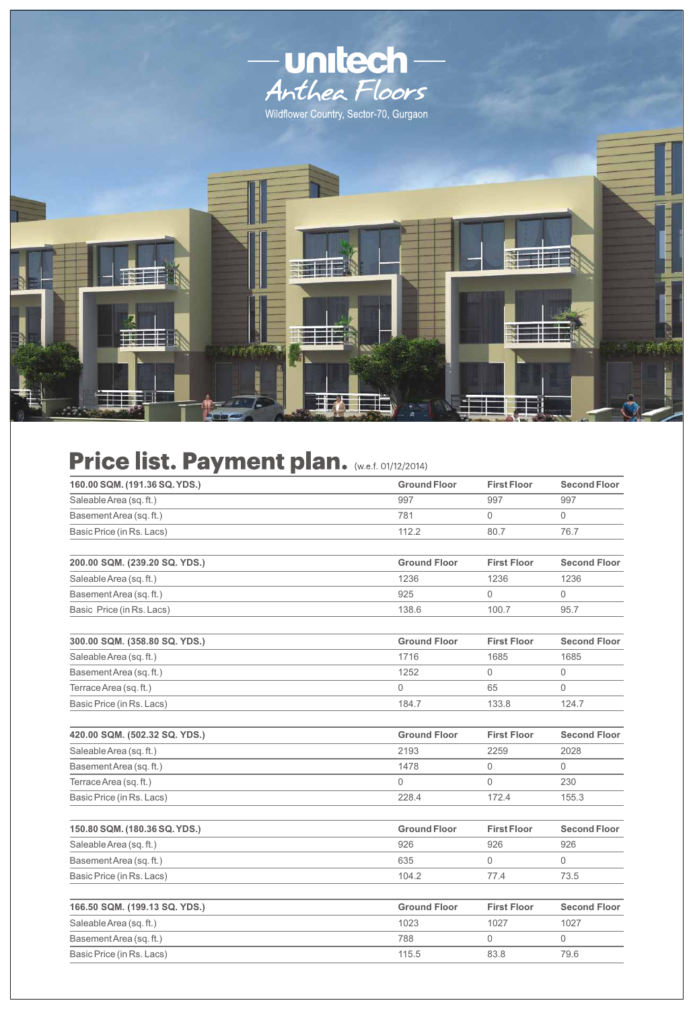

## Price list. Payment plan. (W.e.f. 01/12/2014)

| 160.00 SQM. (191.36 SQ. YDS.) | <b>Ground Floor</b> | <b>First Floor</b> | <b>Second Floor</b> |
|-------------------------------|---------------------|--------------------|---------------------|
| Saleable Area (sq. ft.)       | 997                 | 997                | 997                 |
| BasementArea (sq. ft.)        | 781                 | 0                  | 0                   |
| Basic Price (in Rs. Lacs)     | 112.2               | 80.7               | 76.7                |
|                               |                     |                    |                     |
| 200.00 SQM. (239.20 SQ. YDS.) | <b>Ground Floor</b> | <b>First Floor</b> | <b>Second Floor</b> |
| Saleable Area (sq. ft.)       | 1236                | 1236               | 1236                |
| Basement Area (sq. ft.)       | 925                 | 0                  | $\Omega$            |
| Basic Price (in Rs. Lacs)     | 138.6               | 100.7              | 95.7                |
| 300.00 SQM. (358.80 SQ. YDS.) | <b>Ground Floor</b> | <b>First Floor</b> | <b>Second Floor</b> |
| Saleable Area (sq. ft.)       | 1716                | 1685               | 1685                |
| Basement Area (sq. ft.)       | 1252                | 0                  | 0                   |
| Terrace Area (sq. ft.)        | 0                   | 65                 | 0                   |
| Basic Price (in Rs. Lacs)     | 184.7               | 133.8              | 124.7               |
| 420.00 SQM. (502.32 SQ. YDS.) | <b>Ground Floor</b> | <b>First Floor</b> | <b>Second Floor</b> |
| Saleable Area (sq. ft.)       | 2193                | 2259               | 2028                |
| Basement Area (sq. ft.)       | 1478                | 0                  | 0                   |
| Terrace Area (sq. ft.)        | $\overline{0}$      | 0                  | 230                 |
| Basic Price (in Rs. Lacs)     | 228.4               | 172.4              | 155.3               |
| 150.80 SQM. (180.36 SQ. YDS.) | <b>Ground Floor</b> | <b>First Floor</b> | <b>Second Floor</b> |
| Saleable Area (sq. ft.)       | 926                 | 926                | 926                 |
| Basement Area (sq. ft.)       | 635                 | $\Omega$           | 0                   |
| Basic Price (in Rs. Lacs)     | 104.2               | 77.4               | 73.5                |
| 166.50 SQM. (199.13 SQ. YDS.) | <b>Ground Floor</b> | <b>First Floor</b> | <b>Second Floor</b> |
| Saleable Area (sq. ft.)       | 1023                | 1027               | 1027                |
| Basement Area (sq. ft.)       | 788                 | 0                  | 0                   |
| Basic Price (in Rs. Lacs)     | 115.5               | 83.8               | 79.6                |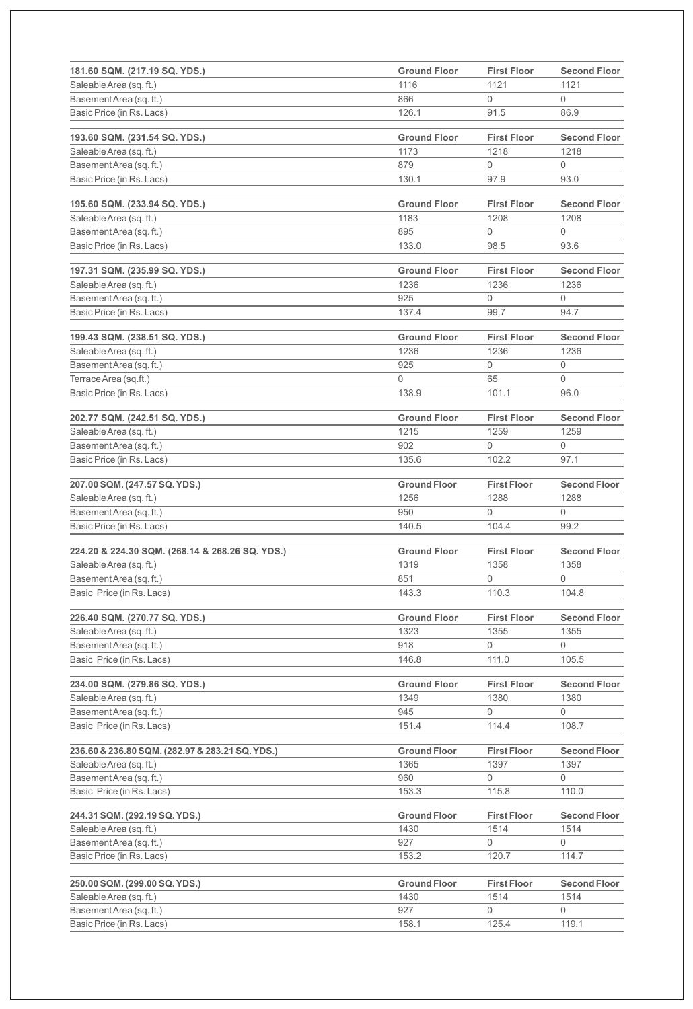| 181.60 SQM. (217.19 SQ. YDS.)                        | <b>Ground Floor</b> | <b>First Floor</b> | <b>Second Floor</b> |
|------------------------------------------------------|---------------------|--------------------|---------------------|
| Saleable Area (sq. ft.)                              | 1116                | 1121               | 1121                |
| BasementArea (sq. ft.)                               | 866                 | 0                  | 0                   |
| Basic Price (in Rs. Lacs)                            | 126.1               | 91.5               | 86.9                |
|                                                      |                     |                    |                     |
| 193.60 SQM. (231.54 SQ. YDS.)                        | <b>Ground Floor</b> | <b>First Floor</b> | <b>Second Floor</b> |
| Saleable Area (sq. ft.)                              | 1173                | 1218               | 1218                |
| Basement Area (sq. ft.)                              | 879                 | 0                  | 0                   |
| Basic Price (in Rs. Lacs)                            | 130.1               | 97.9               | 93.0                |
|                                                      |                     |                    |                     |
| 195.60 SQM. (233.94 SQ. YDS.)                        | <b>Ground Floor</b> | <b>First Floor</b> | <b>Second Floor</b> |
| Saleable Area (sq. ft.)                              | 1183                | 1208               | 1208                |
| BasementArea (sq. ft.)                               | 895                 | 0                  | 0                   |
| Basic Price (in Rs. Lacs)                            | 133.0               | 98.5               | 93.6                |
|                                                      |                     |                    |                     |
| 197.31 SQM. (235.99 SQ. YDS.)                        | <b>Ground Floor</b> | <b>First Floor</b> | <b>Second Floor</b> |
| Saleable Area (sq. ft.)                              | 1236                | 1236               | 1236                |
| Basement Area (sq. ft.)                              | 925                 | 0                  | 0                   |
| Basic Price (in Rs. Lacs)                            | 137.4               | 99.7               | 94.7                |
|                                                      |                     |                    |                     |
| 199.43 SQM. (238.51 SQ. YDS.)                        | <b>Ground Floor</b> | <b>First Floor</b> | <b>Second Floor</b> |
| Saleable Area (sq. ft.)                              | 1236                | 1236               | 1236                |
| Basement Area (sq. ft.)                              | 925                 | 0                  | 0                   |
|                                                      |                     |                    |                     |
| Terrace Area (sq.ft.)                                | $\mathbf{0}$        | 65                 | 0                   |
| Basic Price (in Rs. Lacs)                            | 138.9               | 101.1              | 96.0                |
|                                                      |                     |                    |                     |
| 202.77 SQM. (242.51 SQ. YDS.)                        | <b>Ground Floor</b> | <b>First Floor</b> | <b>Second Floor</b> |
| Saleable Area (sq. ft.)                              | 1215                | 1259               | 1259                |
| Basement Area (sq. ft.)                              | 902                 | 0                  | 0                   |
| Basic Price (in Rs. Lacs)                            | 135.6               | 102.2              | 97.1                |
|                                                      |                     |                    |                     |
| 207.00 SQM. (247.57 SQ. YDS.)                        | <b>Ground Floor</b> | <b>First Floor</b> | <b>Second Floor</b> |
| Saleable Area (sq. ft.)                              | 1256                | 1288               | 1288                |
| BasementArea (sq. ft.)                               | 950                 | $\mathbf 0$        | 0                   |
| Basic Price (in Rs. Lacs)                            | 140.5               | 104.4              | 99.2                |
|                                                      |                     |                    |                     |
| 224.20 & 224.30 SQM. (268.14 & 268.26 SQ. YDS.)      | <b>Ground Floor</b> | <b>First Floor</b> | <b>Second Floor</b> |
| Saleable Area (sq. ft.)                              | 1319                | 1358               | 1358                |
| BasementArea (sq. ft.)                               | 851                 | 0                  | 0                   |
| Basic Price (in Rs. Lacs)                            | 143.3               | 110.3              | 104.8               |
|                                                      |                     |                    |                     |
| 226.40 SQM. (270.77 SQ. YDS.)                        | <b>Ground Floor</b> | <b>First Floor</b> | <b>Second Floor</b> |
| Saleable Area (sq. ft.)                              | 1323                | 1355               | 1355                |
| Basement Area (sq. ft.)                              | 918                 | 0                  | 0                   |
| Basic Price (in Rs. Lacs)                            | 146.8               | 111.0              | 105.5               |
|                                                      |                     |                    |                     |
| 234.00 SQM. (279.86 SQ. YDS.)                        | <b>Ground Floor</b> | <b>First Floor</b> | <b>Second Floor</b> |
| Saleable Area (sq. ft.)                              |                     |                    |                     |
| BasementArea (sq. ft.)                               | 1349                | 1380               | 1380                |
| Basic Price (in Rs. Lacs)                            | 945                 | 0                  | 0                   |
|                                                      | 151.4               | 114.4              | 108.7               |
|                                                      |                     |                    |                     |
| 236.60 & 236.80 SQM. (282.97 & 283.21 SQ. YDS.)      | <b>Ground Floor</b> | <b>First Floor</b> | <b>Second Floor</b> |
| Saleable Area (sq. ft.)                              | 1365                | 1397               | 1397                |
| BasementArea (sq. ft.)                               | 960                 | 0                  | 0                   |
|                                                      | 153.3               | 115.8              | 110.0               |
| Basic Price (in Rs. Lacs)                            |                     |                    |                     |
| 244.31 SQM. (292.19 SQ. YDS.)                        | <b>Ground Floor</b> | <b>First Floor</b> | <b>Second Floor</b> |
| Saleable Area (sq. ft.)                              | 1430                | 1514               | 1514                |
| Basement Area (sq. ft.)                              | 927                 | 0                  | 0                   |
| Basic Price (in Rs. Lacs)                            | 153.2               | 120.7              | 114.7               |
|                                                      |                     |                    |                     |
|                                                      | <b>Ground Floor</b> | <b>First Floor</b> | <b>Second Floor</b> |
| 250.00 SQM. (299.00 SQ. YDS.)                        | 1430                | 1514               | 1514                |
| Saleable Area (sq. ft.)                              |                     |                    |                     |
| Basement Area (sq. ft.)<br>Basic Price (in Rs. Lacs) | 927<br>158.1        | 0<br>125.4         | 0<br>119.1          |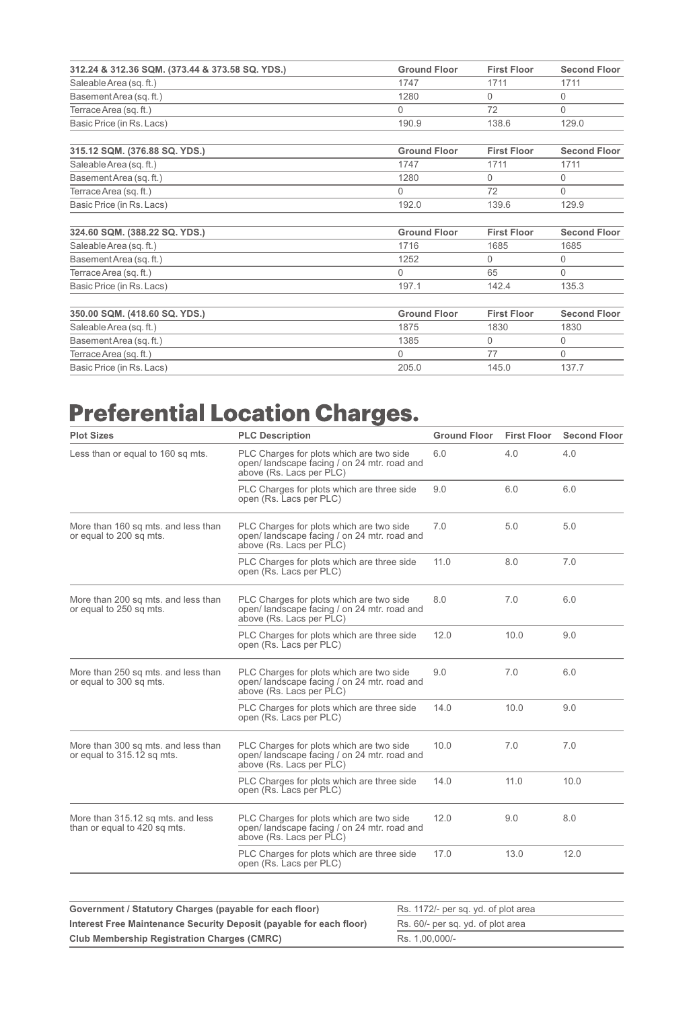| 312.24 & 312.36 SQM. (373.44 & 373.58 SQ. YDS.) | <b>Ground Floor</b> | <b>First Floor</b> | <b>Second Floor</b> |
|-------------------------------------------------|---------------------|--------------------|---------------------|
| Saleable Area (sq. ft.)                         | 1747                | 1711               | 1711                |
| Basement Area (sq. ft.)                         | 1280                | $\Omega$           | 0                   |
| Terrace Area (sq. ft.)                          | $\Omega$            | 72                 | 0                   |
| Basic Price (in Rs. Lacs)                       | 190.9               | 138.6              | 129.0               |
| 315.12 SQM. (376.88 SQ. YDS.)                   | <b>Ground Floor</b> | <b>First Floor</b> | <b>Second Floor</b> |
| Saleable Area (sq. ft.)                         | 1747                | 1711               | 1711                |
| Basement Area (sq. ft.)                         | 1280                | $\Omega$           | 0                   |
| Terrace Area (sq. ft.)                          | $\Omega$            | 72                 | 0                   |
| Basic Price (in Rs. Lacs)                       | 192.0               | 139.6              | 129.9               |
| 324.60 SQM. (388.22 SQ. YDS.)                   | <b>Ground Floor</b> | <b>First Floor</b> | <b>Second Floor</b> |
| Saleable Area (sq. ft.)                         | 1716                | 1685               | 1685                |
| Basement Area (sq. ft.)                         | 1252                | $\Omega$           | 0                   |
| Terrace Area (sq. ft.)                          | $\Omega$            | 65                 | 0                   |
| Basic Price (in Rs. Lacs)                       | 197.1               | 142.4              | 135.3               |
| 350.00 SQM. (418.60 SQ. YDS.)                   | <b>Ground Floor</b> | <b>First Floor</b> | <b>Second Floor</b> |
| Saleable Area (sq. ft.)                         | 1875                | 1830               | 1830                |
| Basement Area (sq. ft.)                         | 1385                | $\Omega$           | 0                   |
| Terrace Area (sq. ft.)                          | 0                   | 77                 | 0                   |
| Basic Price (in Rs. Lacs)                       | 205.0               | 145.0              | 137.7               |

# **Preferential Location Charges.**

| <b>Plot Sizes</b>                                                 | <b>PLC Description</b>                                                                                               | <b>Ground Floor</b> | <b>First Floor</b> | <b>Second Floor</b> |
|-------------------------------------------------------------------|----------------------------------------------------------------------------------------------------------------------|---------------------|--------------------|---------------------|
| Less than or equal to 160 sq mts.                                 | PLC Charges for plots which are two side<br>open/ landscape facing / on 24 mtr. road and<br>above (Rs. Lacs per PLC) | 6.0                 | 4.0                | 4.0                 |
|                                                                   | PLC Charges for plots which are three side<br>open (Rs. Lacs per PLC)                                                | 9.0                 | 6.0                | 6.0                 |
| More than 160 sq mts. and less than<br>or equal to 200 sq mts.    | PLC Charges for plots which are two side<br>open/ landscape facing / on 24 mtr. road and<br>above (Rs. Lacs per PLC) | 7.0                 | 5.0                | 5.0                 |
|                                                                   | PLC Charges for plots which are three side<br>open (Rs. Lacs per PLC)                                                | 11.0                | 8.0                | 7.0                 |
| More than 200 sq mts. and less than<br>or equal to 250 sq mts.    | PLC Charges for plots which are two side<br>open/ landscape facing / on 24 mtr. road and<br>above (Rs. Lacs per PLC) | 8.0                 | 7.0                | 6.0                 |
|                                                                   | PLC Charges for plots which are three side<br>open (Rs. Lacs per PLC)                                                | 12.0                | 10.0               | 9.0                 |
| More than 250 sq mts. and less than<br>or equal to 300 sq mts.    | PLC Charges for plots which are two side<br>open/landscape facing / on 24 mtr. road and<br>above (Rs. Lacs per PLC)  | 9.0                 | 7.0                | 6.0                 |
|                                                                   | PLC Charges for plots which are three side<br>open (Rs. Lacs per PLC)                                                | 14.0                | 10.0               | 9.0                 |
| More than 300 sq mts. and less than<br>or equal to 315.12 sq mts. | PLC Charges for plots which are two side<br>open/ landscape facing / on 24 mtr. road and<br>above (Rs. Lacs per PLC) | 10.0                | 7.0                | 7.0                 |
|                                                                   | PLC Charges for plots which are three side<br>open (Rs. Lacs per PLC)                                                | 14.0                | 11.0               | 10.0                |
| More than 315.12 sq mts. and less<br>than or equal to 420 sq mts. | PLC Charges for plots which are two side<br>open/ landscape facing / on 24 mtr. road and<br>above (Rs. Lacs per PLC) | 12.0                | 9.0                | 8.0                 |
|                                                                   | PLC Charges for plots which are three side<br>open (Rs. Lacs per PLC)                                                | 17.0                | 13.0               | 12.0                |

| Government / Statutory Charges (payable for each floor)             | Rs. 1172/- per sq. yd. of plot area |
|---------------------------------------------------------------------|-------------------------------------|
| Interest Free Maintenance Security Deposit (payable for each floor) | Rs. 60/- per sq. yd. of plot area   |
| Club Membership Registration Charges (CMRC)                         | Rs. 1.00.000/-                      |